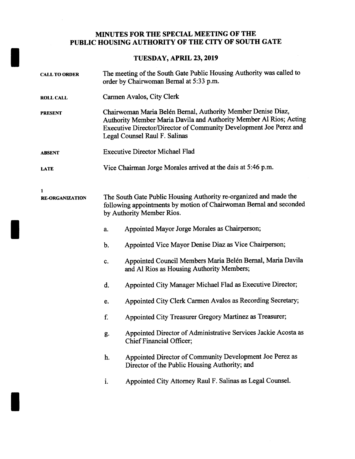## MINUTES FOR THE SPECIAL MEETING OF THE PUBLIC HOUSING AUTHORITY OF THE CITY OF SOUTH GATE

## TUESDAY, APRIL 23, 2019

| <b>CALL TO ORDER</b>        | The meeting of the South Gate Public Housing Authority was called to<br>order by Chairwoman Bernal at 5:33 p.m.                                                                                                                           |                                                                                                                                                                      |  |
|-----------------------------|-------------------------------------------------------------------------------------------------------------------------------------------------------------------------------------------------------------------------------------------|----------------------------------------------------------------------------------------------------------------------------------------------------------------------|--|
| <b>ROLL CALL</b>            | Carmen Avalos, City Clerk                                                                                                                                                                                                                 |                                                                                                                                                                      |  |
| <b>PRESENT</b>              | Chairwoman Maria Belén Bernal, Authority Member Denise Diaz,<br>Authority Member Maria Davila and Authority Member Al Rios; Acting<br>Executive Director/Director of Community Development Joe Perez and<br>Legal Counsel Raul F. Salinas |                                                                                                                                                                      |  |
| <b>ABSENT</b>               | <b>Executive Director Michael Flad</b>                                                                                                                                                                                                    |                                                                                                                                                                      |  |
| <b>LATE</b>                 | Vice Chairman Jorge Morales arrived at the dais at 5:46 p.m.                                                                                                                                                                              |                                                                                                                                                                      |  |
| 1<br><b>RE-ORGANIZATION</b> |                                                                                                                                                                                                                                           | The South Gate Public Housing Authority re-organized and made the<br>following appointments by motion of Chairwoman Bernal and seconded<br>by Authority Member Rios. |  |
|                             | a.                                                                                                                                                                                                                                        | Appointed Mayor Jorge Morales as Chairperson;                                                                                                                        |  |
|                             | $b$ .                                                                                                                                                                                                                                     | Appointed Vice Mayor Denise Diaz as Vice Chairperson;                                                                                                                |  |
|                             | c.                                                                                                                                                                                                                                        | Appointed Council Members Maria Belén Bernal, Maria Davila<br>and Al Rios as Housing Authority Members;                                                              |  |
|                             | d.                                                                                                                                                                                                                                        | Appointed City Manager Michael Flad as Executive Director;                                                                                                           |  |
|                             | e.                                                                                                                                                                                                                                        | Appointed City Clerk Carmen Avalos as Recording Secretary;                                                                                                           |  |
|                             | f.                                                                                                                                                                                                                                        | Appointed City Treasurer Gregory Martinez as Treasurer;                                                                                                              |  |
|                             | g.                                                                                                                                                                                                                                        | Appointed Director of Administrative Services Jackie Acosta as<br><b>Chief Financial Officer;</b>                                                                    |  |
|                             | h.                                                                                                                                                                                                                                        | Appointed Director of Community Development Joe Perez as<br>Director of the Public Housing Authority; and                                                            |  |
|                             | i.                                                                                                                                                                                                                                        | Appointed City Attorney Raul F. Salinas as Legal Counsel.                                                                                                            |  |